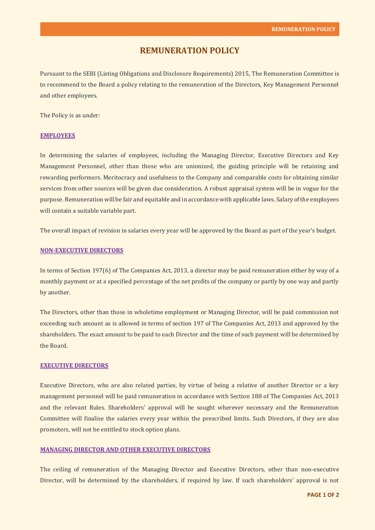# **REMUNERATION POLICY**

Pursuant to the SEBI (Listing Obligations and Disclosure Requirements) 2015, The Remuneration Committee is to recommend to the Board a policy relating to the remuneration of the Directors, Key Management Personnel and other employees.

The Policy is as under:

### **EMPLOYEES**

In determining the salaries of employees, including the Managing Director, Executive Directors and Key Management Personnel, other than those who are unionized, the guiding principle will be retaining and rewarding performers. Meritocracy and usefulness to the Company and comparable costs for obtaining similar services from other sources will be given due consideration. A robust appraisal system will be in vogue for the purpose. Remuneration will be fair and equitable and in accordance with applicable laws. Salary of the employees will contain a suitable variable part.

The overall impact of revision in salaries every year will be approved by the Board as part of the year's budget.

# **NON-EXECUTIVE DIRECTORS**

In terms of Section 197(6) of The Companies Act, 2013, a director may be paid remuneration either by way of a monthly payment or at a specified percentage of the net profits of the company or partly by one way and partly by another.

The Directors, other than those in wholetime employment or Managing Director, will be paid commission not exceeding such amount as is allowed in terms of section 197 of The Companies Act, 2013 and approved by the shareholders. The exact amount to be paid to each Director and the time of such payment will be determined by the Board.

#### **EXECUTIVE DIRECTORS**

Executive Directors, who are also related parties, by virtue of being a relative of another Director or a key management personnel will be paid remuneration in accordance with Section 188 of The Companies Act, 2013 and the relevant Rules. Shareholders' approval will be sought wherever necessary and the Remuneration Committee will finalise the salaries every year within the prescribed limits. Such Directors, if they are also promoters, will not be entitled to stock option plans.

# **MANAGING DIRECTOR AND OTHER EXECUTIVE DIRECTORS**

The ceiling of remuneration of the Managing Director and Executive Directors, other than non-executive Director, will be determined by the shareholders, if required by law. If such shareholders' approval is not